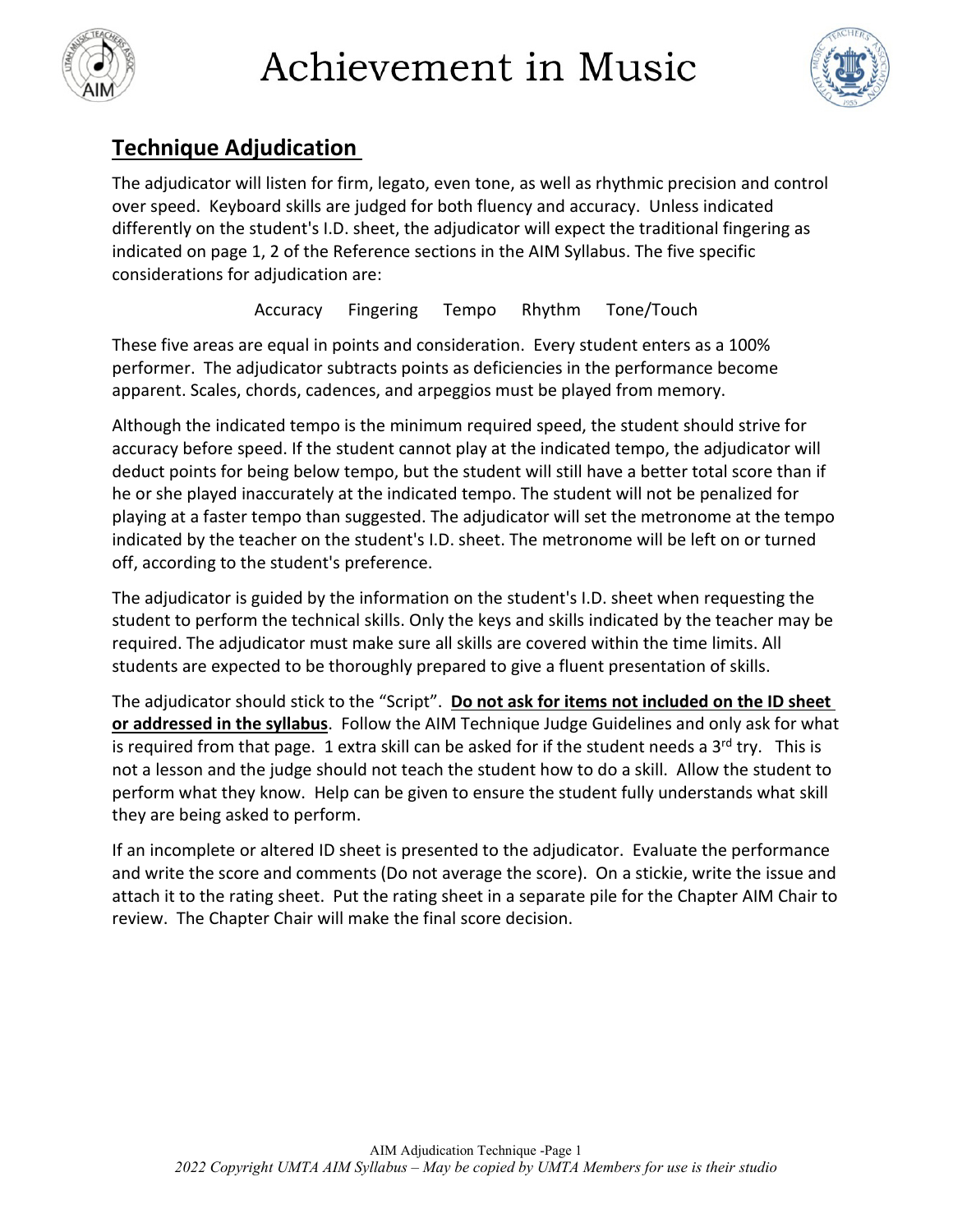



### **Technique Adjudication**

The adjudicator will listen for firm, legato, even tone, as well as rhythmic precision and control over speed. Keyboard skills are judged for both fluency and accuracy. Unless indicated differently on the student's I.D. sheet, the adjudicator will expect the traditional fingering as indicated on page 1, 2 of the Reference sections in the AIM Syllabus. The five specific considerations for adjudication are:

Accuracy Fingering Tempo Rhythm Tone/Touch

These five areas are equal in points and consideration. Every student enters as a 100% performer. The adjudicator subtracts points as deficiencies in the performance become apparent. Scales, chords, cadences, and arpeggios must be played from memory.

Although the indicated tempo is the minimum required speed, the student should strive for accuracy before speed. If the student cannot play at the indicated tempo, the adjudicator will deduct points for being below tempo, but the student will still have a better total score than if he or she played inaccurately at the indicated tempo. The student will not be penalized for playing at a faster tempo than suggested. The adjudicator will set the metronome at the tempo indicated by the teacher on the student's I.D. sheet. The metronome will be left on or turned off, according to the student's preference.

The adjudicator is guided by the information on the student's I.D. sheet when requesting the student to perform the technical skills. Only the keys and skills indicated by the teacher may be required. The adjudicator must make sure all skills are covered within the time limits. All students are expected to be thoroughly prepared to give a fluent presentation of skills.

The adjudicator should stick to the "Script". **Do not ask for items not included on the ID sheet or addressed in the syllabus**. Follow the AIM Technique Judge Guidelines and only ask for what is required from that page. 1 extra skill can be asked for if the student needs a  $3<sup>rd</sup>$  try. This is not a lesson and the judge should not teach the student how to do a skill. Allow the student to perform what they know. Help can be given to ensure the student fully understands what skill they are being asked to perform.

If an incomplete or altered ID sheet is presented to the adjudicator. Evaluate the performance and write the score and comments (Do not average the score). On a stickie, write the issue and attach it to the rating sheet. Put the rating sheet in a separate pile for the Chapter AIM Chair to review. The Chapter Chair will make the final score decision.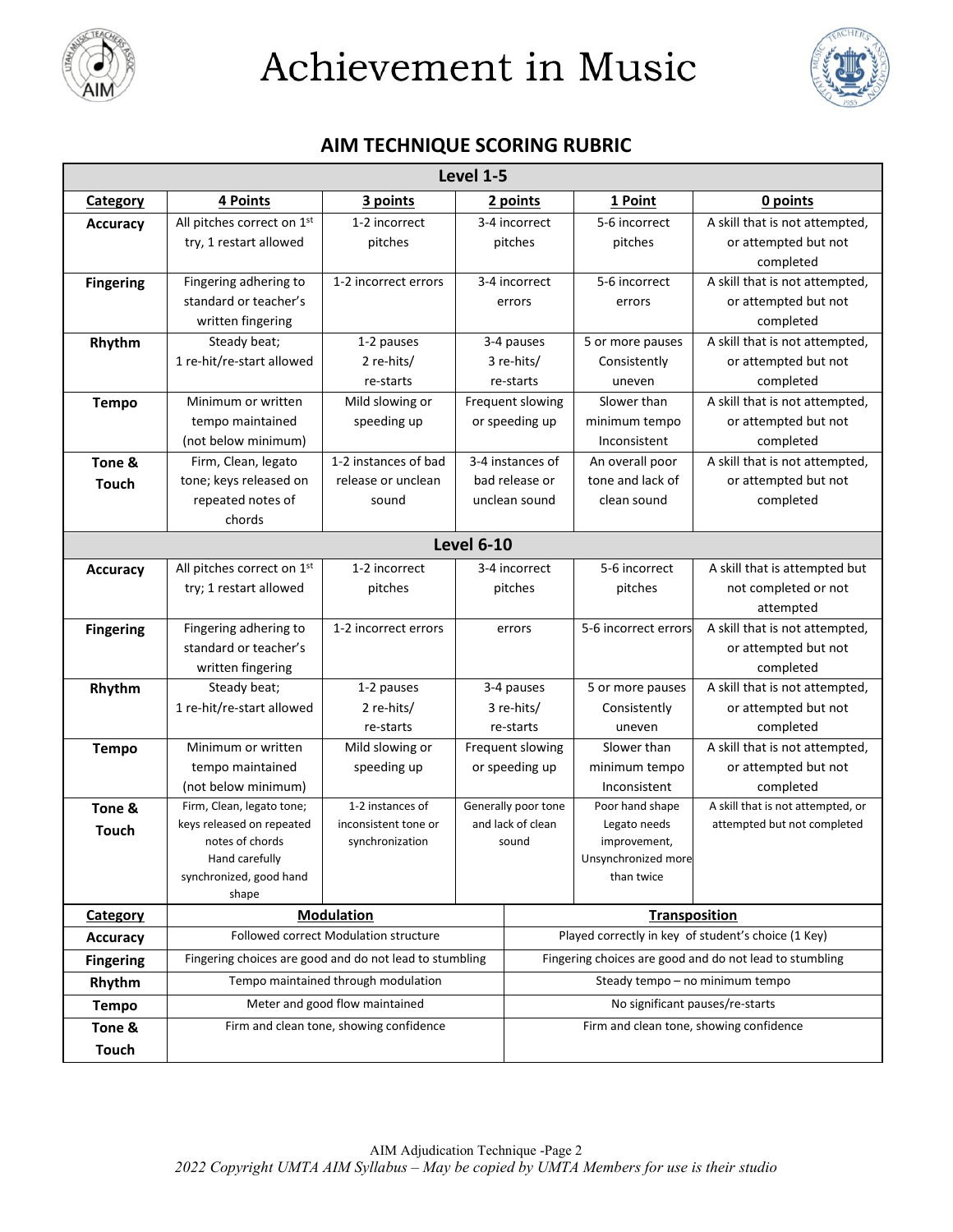



### **AIM TECHNIQUE SCORING RUBRIC**

| Level 1-5        |                                              |                                                         |                                         |                                                     |                                                         |                                   |  |  |  |
|------------------|----------------------------------------------|---------------------------------------------------------|-----------------------------------------|-----------------------------------------------------|---------------------------------------------------------|-----------------------------------|--|--|--|
| <b>Category</b>  | 4 Points                                     | 3 points                                                | 2 points                                |                                                     | 1 Point                                                 | 0 points                          |  |  |  |
| <b>Accuracy</b>  | All pitches correct on 1st                   | 1-2 incorrect                                           | 3-4 incorrect                           |                                                     | 5-6 incorrect                                           | A skill that is not attempted,    |  |  |  |
|                  | try, 1 restart allowed                       | pitches                                                 | pitches                                 |                                                     | pitches                                                 | or attempted but not              |  |  |  |
|                  |                                              |                                                         |                                         |                                                     |                                                         | completed                         |  |  |  |
| <b>Fingering</b> | Fingering adhering to                        | 1-2 incorrect errors                                    | 3-4 incorrect                           |                                                     | 5-6 incorrect                                           | A skill that is not attempted,    |  |  |  |
|                  | standard or teacher's                        |                                                         | errors                                  |                                                     | errors                                                  | or attempted but not              |  |  |  |
|                  | written fingering                            |                                                         |                                         |                                                     |                                                         | completed                         |  |  |  |
| Rhythm           | Steady beat;                                 | 1-2 pauses                                              |                                         | 3-4 pauses                                          | 5 or more pauses                                        | A skill that is not attempted,    |  |  |  |
|                  | 1 re-hit/re-start allowed                    | 2 re-hits/                                              | 3 re-hits/                              |                                                     | Consistently                                            | or attempted but not              |  |  |  |
|                  |                                              | re-starts                                               |                                         | re-starts                                           | uneven                                                  | completed                         |  |  |  |
| <b>Tempo</b>     | Minimum or written                           | Mild slowing or                                         | Frequent slowing                        |                                                     | Slower than                                             | A skill that is not attempted,    |  |  |  |
|                  | tempo maintained                             | speeding up                                             | or speeding up                          |                                                     | minimum tempo                                           | or attempted but not              |  |  |  |
|                  | (not below minimum)                          |                                                         |                                         |                                                     | Inconsistent                                            | completed                         |  |  |  |
| Tone &           | Firm, Clean, legato                          | 1-2 instances of bad                                    | 3-4 instances of                        |                                                     | An overall poor                                         | A skill that is not attempted,    |  |  |  |
| Touch            | tone; keys released on                       | release or unclean                                      | bad release or                          |                                                     | tone and lack of                                        | or attempted but not              |  |  |  |
|                  | repeated notes of                            | sound                                                   |                                         | unclean sound                                       | clean sound                                             | completed                         |  |  |  |
|                  | chords                                       |                                                         |                                         |                                                     |                                                         |                                   |  |  |  |
|                  |                                              |                                                         | <b>Level 6-10</b>                       |                                                     |                                                         |                                   |  |  |  |
| <b>Accuracy</b>  | All pitches correct on 1st                   | 1-2 incorrect                                           | 3-4 incorrect                           |                                                     | 5-6 incorrect                                           | A skill that is attempted but     |  |  |  |
|                  | try; 1 restart allowed                       | pitches                                                 | pitches                                 |                                                     | pitches                                                 | not completed or not              |  |  |  |
|                  |                                              |                                                         |                                         |                                                     |                                                         | attempted                         |  |  |  |
| <b>Fingering</b> | Fingering adhering to                        | 1-2 incorrect errors                                    | errors                                  |                                                     | 5-6 incorrect errors                                    | A skill that is not attempted,    |  |  |  |
|                  | standard or teacher's                        |                                                         |                                         |                                                     |                                                         | or attempted but not              |  |  |  |
|                  | written fingering                            |                                                         |                                         |                                                     |                                                         | completed                         |  |  |  |
| Rhythm           | Steady beat;                                 | 1-2 pauses                                              |                                         | 3-4 pauses                                          | 5 or more pauses                                        | A skill that is not attempted,    |  |  |  |
|                  | 1 re-hit/re-start allowed                    | 2 re-hits/                                              |                                         | 3 re-hits/                                          | Consistently                                            | or attempted but not              |  |  |  |
|                  |                                              | re-starts                                               |                                         | re-starts                                           | uneven                                                  | completed                         |  |  |  |
| <b>Tempo</b>     | Minimum or written                           | Mild slowing or                                         |                                         | Frequent slowing                                    | Slower than                                             | A skill that is not attempted,    |  |  |  |
|                  | tempo maintained                             | speeding up                                             | or speeding up                          |                                                     | minimum tempo                                           | or attempted but not              |  |  |  |
|                  | (not below minimum)                          |                                                         |                                         |                                                     | Inconsistent                                            | completed                         |  |  |  |
| Tone &           | Firm, Clean, legato tone;                    | 1-2 instances of                                        |                                         | Generally poor tone                                 | Poor hand shape                                         | A skill that is not attempted, or |  |  |  |
| <b>Touch</b>     | keys released on repeated<br>notes of chords | inconsistent tone or<br>synchronization                 | and lack of clean                       |                                                     | Legato needs<br>improvement,                            | attempted but not completed       |  |  |  |
|                  | Hand carefully                               |                                                         | sound                                   |                                                     | Unsynchronized more                                     |                                   |  |  |  |
|                  | synchronized, good hand                      |                                                         |                                         |                                                     | than twice                                              |                                   |  |  |  |
|                  | shape                                        |                                                         |                                         |                                                     |                                                         |                                   |  |  |  |
| <b>Category</b>  |                                              | <b>Modulation</b>                                       |                                         | <b>Transposition</b>                                |                                                         |                                   |  |  |  |
| <b>Accuracy</b>  |                                              | Followed correct Modulation structure                   |                                         | Played correctly in key of student's choice (1 Key) |                                                         |                                   |  |  |  |
| <b>Fingering</b> |                                              | Fingering choices are good and do not lead to stumbling |                                         |                                                     | Fingering choices are good and do not lead to stumbling |                                   |  |  |  |
| Rhythm           |                                              | Tempo maintained through modulation                     |                                         | Steady tempo - no minimum tempo                     |                                                         |                                   |  |  |  |
| <b>Tempo</b>     |                                              | Meter and good flow maintained                          |                                         | No significant pauses/re-starts                     |                                                         |                                   |  |  |  |
| Tone &           | Firm and clean tone, showing confidence      |                                                         | Firm and clean tone, showing confidence |                                                     |                                                         |                                   |  |  |  |
| <b>Touch</b>     |                                              |                                                         |                                         |                                                     |                                                         |                                   |  |  |  |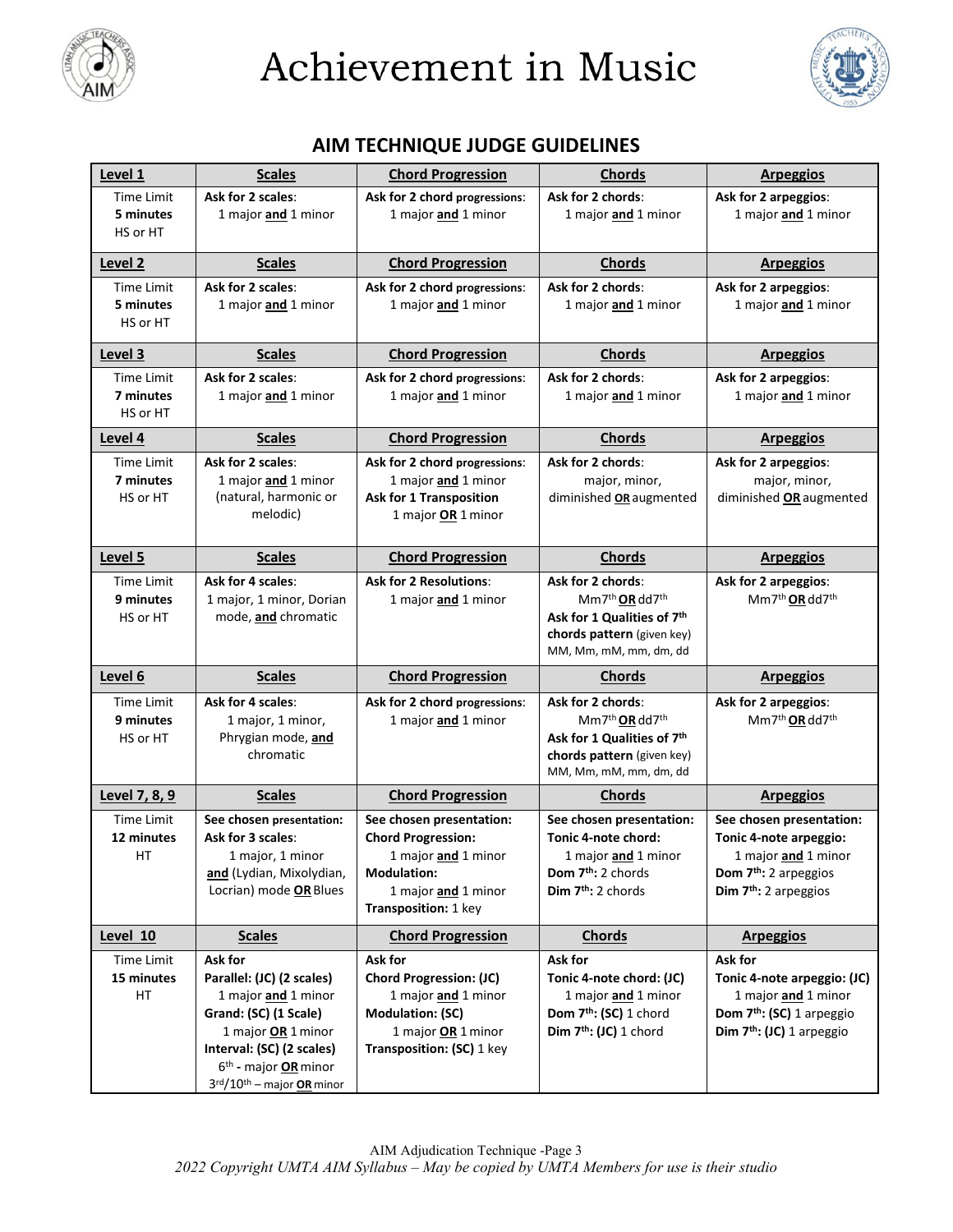



### **AIM TECHNIQUE JUDGE GUIDELINES**

| Level 1               | <b>Scales</b>                                                                           | <b>Chord Progression</b>                  | <b>Chords</b>                                                    | <b>Arpeggios</b>                                                       |
|-----------------------|-----------------------------------------------------------------------------------------|-------------------------------------------|------------------------------------------------------------------|------------------------------------------------------------------------|
| <b>Time Limit</b>     | Ask for 2 scales:                                                                       | Ask for 2 chord progressions:             | Ask for 2 chords:                                                | Ask for 2 arpeggios:                                                   |
| 5 minutes<br>HS or HT | 1 major and 1 minor                                                                     | 1 major and 1 minor                       | 1 major and 1 minor                                              | 1 major and 1 minor                                                    |
|                       |                                                                                         |                                           |                                                                  |                                                                        |
| Level 2               | <b>Scales</b>                                                                           | <b>Chord Progression</b>                  | <b>Chords</b>                                                    | <b>Arpeggios</b>                                                       |
| <b>Time Limit</b>     | Ask for 2 scales:                                                                       | Ask for 2 chord progressions:             | Ask for 2 chords:                                                | Ask for 2 arpeggios:                                                   |
| 5 minutes             | 1 major <b>and</b> 1 minor                                                              | 1 major and 1 minor                       | 1 major and 1 minor                                              | 1 major and 1 minor                                                    |
| HS or HT              |                                                                                         |                                           |                                                                  |                                                                        |
| Level 3               | <b>Scales</b>                                                                           | <b>Chord Progression</b>                  | <b>Chords</b>                                                    | <b>Arpeggios</b>                                                       |
| <b>Time Limit</b>     | Ask for 2 scales:                                                                       | Ask for 2 chord progressions:             | Ask for 2 chords:                                                | Ask for 2 arpeggios:                                                   |
| 7 minutes             | 1 major and 1 minor                                                                     | 1 major and 1 minor                       | 1 major and 1 minor                                              | 1 major and 1 minor                                                    |
| HS or HT              |                                                                                         |                                           |                                                                  |                                                                        |
| Level 4               | <b>Scales</b>                                                                           | <b>Chord Progression</b>                  | <b>Chords</b>                                                    | <b>Arpeggios</b>                                                       |
| <b>Time Limit</b>     | Ask for 2 scales:                                                                       | Ask for 2 chord progressions:             | Ask for 2 chords:                                                | Ask for 2 arpeggios:                                                   |
| 7 minutes             | 1 major and 1 minor                                                                     | 1 major and 1 minor                       | major, minor,                                                    | major, minor,                                                          |
| HS or HT              | (natural, harmonic or                                                                   | <b>Ask for 1 Transposition</b>            | diminished OR augmented                                          | diminished OR augmented                                                |
|                       | melodic)                                                                                | 1 major OR 1 minor                        |                                                                  |                                                                        |
| Level 5               | <b>Scales</b>                                                                           | <b>Chord Progression</b>                  | <b>Chords</b>                                                    | <b>Arpeggios</b>                                                       |
| <b>Time Limit</b>     | Ask for 4 scales:                                                                       | <b>Ask for 2 Resolutions:</b>             | Ask for 2 chords:                                                | Ask for 2 arpeggios:                                                   |
| 9 minutes             | 1 major, 1 minor, Dorian                                                                | 1 major and 1 minor                       | Mm7 <sup>th</sup> OR dd7 <sup>th</sup>                           | Mm7 <sup>th</sup> OR dd7 <sup>th</sup>                                 |
| HS or HT              | mode, and chromatic                                                                     |                                           | Ask for 1 Qualities of 7th                                       |                                                                        |
|                       |                                                                                         |                                           | chords pattern (given key)                                       |                                                                        |
|                       |                                                                                         |                                           | MM, Mm, mM, mm, dm, dd                                           |                                                                        |
| Level 6               | <b>Scales</b>                                                                           | <b>Chord Progression</b>                  | <b>Chords</b>                                                    | <b>Arpeggios</b>                                                       |
| <b>Time Limit</b>     | Ask for 4 scales:                                                                       | Ask for 2 chord progressions:             | Ask for 2 chords:                                                | Ask for 2 arpeggios:                                                   |
| 9 minutes             | 1 major, 1 minor,                                                                       | 1 major and 1 minor                       | Mm7 <sup>th</sup> OR dd7 <sup>th</sup>                           | Mm7 <sup>th</sup> OR dd7 <sup>th</sup>                                 |
| HS or HT              | Phrygian mode, and<br>chromatic                                                         |                                           | Ask for 1 Qualities of 7th                                       |                                                                        |
|                       |                                                                                         |                                           | chords pattern (given key)                                       |                                                                        |
|                       |                                                                                         |                                           |                                                                  |                                                                        |
|                       |                                                                                         |                                           | MM, Mm, mM, mm, dm, dd                                           |                                                                        |
| Level 7, 8, 9         | <b>Scales</b>                                                                           | <b>Chord Progression</b>                  | <b>Chords</b>                                                    | <b>Arpeggios</b>                                                       |
| <b>Time Limit</b>     | See chosen presentation:                                                                | See chosen presentation:                  | See chosen presentation:                                         | See chosen presentation:                                               |
| 12 minutes            | Ask for 3 scales:                                                                       | <b>Chord Progression:</b>                 | Tonic 4-note chord:                                              | Tonic 4-note arpeggio:                                                 |
| НT                    | 1 major, 1 minor                                                                        | 1 major and 1 minor                       | 1 major and 1 minor                                              | 1 major and 1 minor                                                    |
|                       | and (Lydian, Mixolydian,<br>Locrian) mode OR Blues                                      | <b>Modulation:</b><br>1 major and 1 minor | Dom 7 <sup>th</sup> : 2 chords<br>Dim 7 <sup>th</sup> : 2 chords | Dom 7 <sup>th</sup> : 2 arpeggios<br>Dim 7 <sup>th</sup> : 2 arpeggios |
|                       |                                                                                         | Transposition: 1 key                      |                                                                  |                                                                        |
| Level 10              | <b>Scales</b>                                                                           | <b>Chord Progression</b>                  | <b>Chords</b>                                                    | <b>Arpeggios</b>                                                       |
| Time Limit            | Ask for                                                                                 | Ask for                                   | Ask for                                                          | Ask for                                                                |
| 15 minutes            | Parallel: (JC) (2 scales)                                                               | <b>Chord Progression: (JC)</b>            | Tonic 4-note chord: (JC)                                         | Tonic 4-note arpeggio: (JC)                                            |
| HT                    | 1 major and 1 minor                                                                     | 1 major and 1 minor                       | 1 major and 1 minor                                              | 1 major and 1 minor                                                    |
|                       | Grand: (SC) (1 Scale)                                                                   | <b>Modulation: (SC)</b>                   | Dom 7 <sup>th</sup> : (SC) 1 chord                               | Dom 7 <sup>th</sup> : (SC) 1 arpeggio                                  |
|                       | 1 major OR 1 minor                                                                      | 1 major OR 1 minor                        | Dim $7th$ : (JC) 1 chord                                         | Dim $7th$ : (JC) 1 arpeggio                                            |
|                       | Interval: (SC) (2 scales)                                                               | Transposition: (SC) 1 key                 |                                                                  |                                                                        |
|                       | 6 <sup>th</sup> - major <b>OR</b> minor<br>3rd/10 <sup>th</sup> - major <b>OR</b> minor |                                           |                                                                  |                                                                        |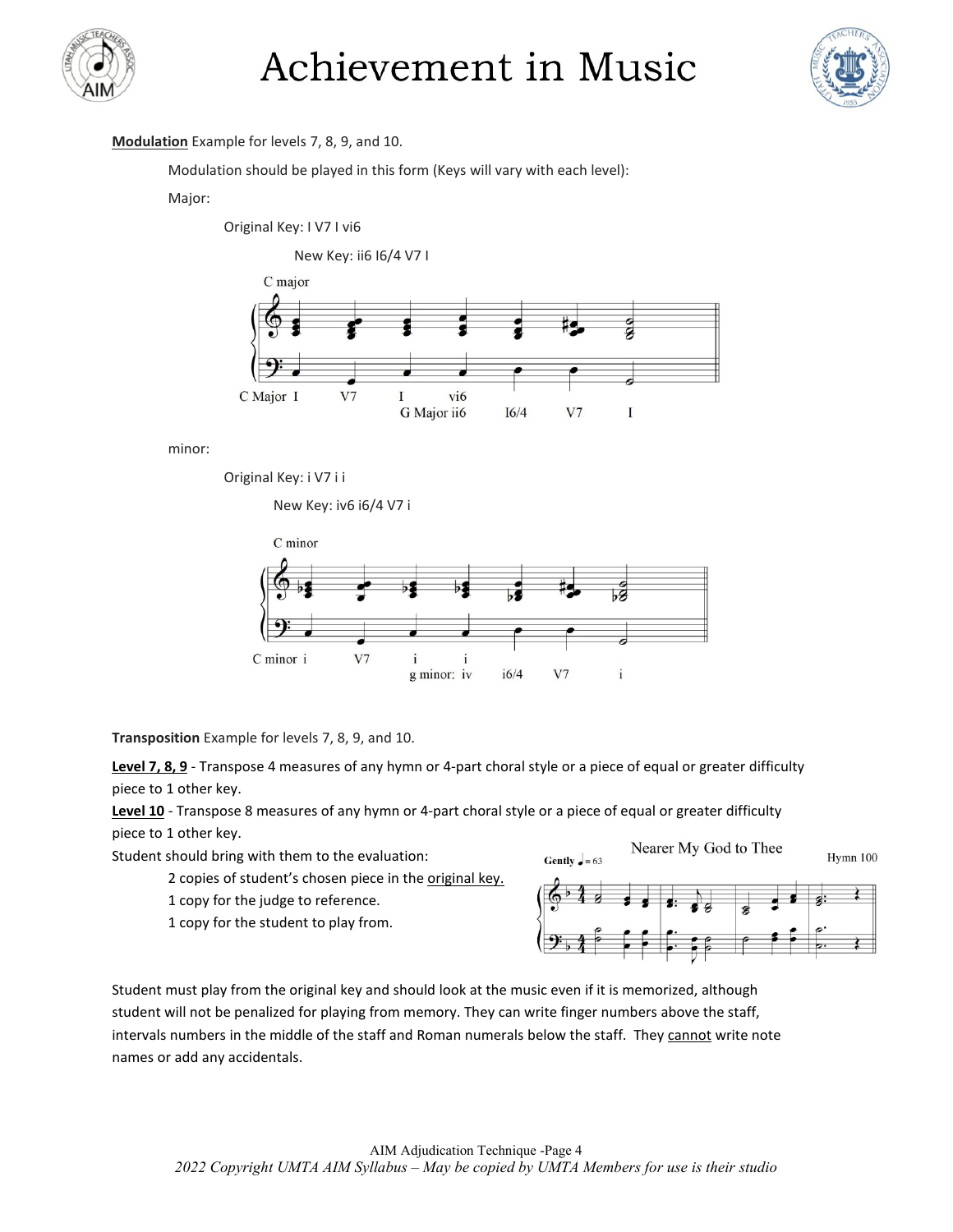



#### **Modulation** Example for levels 7, 8, 9, and 10.

Modulation should be played in this form (Keys will vary with each level):

#### Major:

Original Key: I V7 I vi6

New Key: ii6 I6/4 V7 I



minor:

Original Key: i V7 i i

New Key: iv6 i6/4 V7 i



**Transposition** Example for levels 7, 8, 9, and 10.

**Level 7, 8, 9** - Transpose 4 measures of any hymn or 4-part choral style or a piece of equal or greater difficulty piece to 1 other key.

**Level 10** - Transpose 8 measures of any hymn or 4-part choral style or a piece of equal or greater difficulty piece to 1 other key.

Student should bring with them to the evaluation:

2 copies of student's chosen piece in the original key.

1 copy for the judge to reference.

1 copy for the student to play from.



Student must play from the original key and should look at the music even if it is memorized, although student will not be penalized for playing from memory. They can write finger numbers above the staff, intervals numbers in the middle of the staff and Roman numerals below the staff. They cannot write note names or add any accidentals.